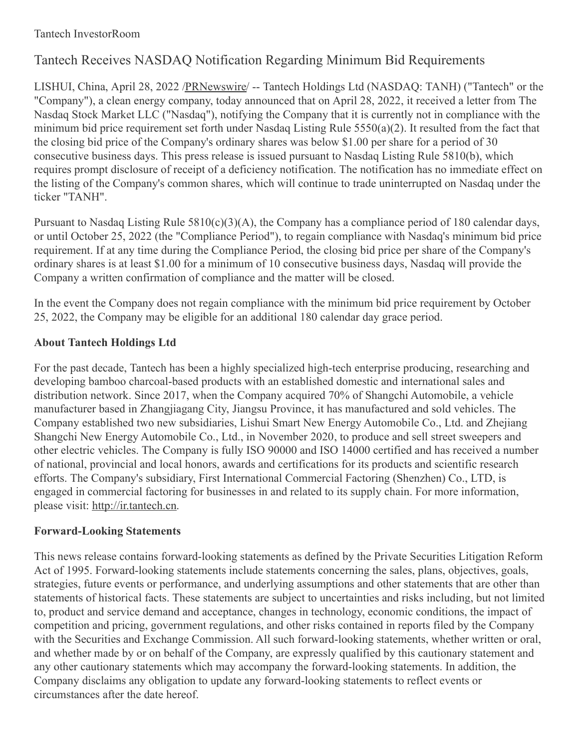## Tantech Receives NASDAQ Notification Regarding Minimum Bid Requirements

LISHUI, China, April 28, 2022 [/PRNewswire](http://www.prnewswire.com/)/ -- Tantech Holdings Ltd (NASDAQ: TANH) ("Tantech" or the "Company"), a clean energy company, today announced that on April 28, 2022, it received a letter from The Nasdaq Stock Market LLC ("Nasdaq"), notifying the Company that it is currently not in compliance with the minimum bid price requirement set forth under Nasdaq Listing Rule 5550(a)(2). It resulted from the fact that the closing bid price of the Company's ordinary shares was below \$1.00 per share for a period of 30 consecutive business days. This press release is issued pursuant to Nasdaq Listing Rule 5810(b), which requires prompt disclosure of receipt of a deficiency notification. The notification has no immediate effect on the listing of the Company's common shares, which will continue to trade uninterrupted on Nasdaq under the ticker "TANH".

Pursuant to Nasdaq Listing Rule 5810(c)(3)(A), the Company has a compliance period of 180 calendar days, or until October 25, 2022 (the "Compliance Period"), to regain compliance with Nasdaq's minimum bid price requirement. If at any time during the Compliance Period, the closing bid price per share of the Company's ordinary shares is at least \$1.00 for a minimum of 10 consecutive business days, Nasdaq will provide the Company a written confirmation of compliance and the matter will be closed.

In the event the Company does not regain compliance with the minimum bid price requirement by October 25, 2022, the Company may be eligible for an additional 180 calendar day grace period.

## **About Tantech Holdings Ltd**

For the past decade, Tantech has been a highly specialized high-tech enterprise producing, researching and developing bamboo charcoal-based products with an established domestic and international sales and distribution network. Since 2017, when the Company acquired 70% of Shangchi Automobile, a vehicle manufacturer based in Zhangjiagang City, Jiangsu Province, it has manufactured and sold vehicles. The Company established two new subsidiaries, Lishui Smart New Energy Automobile Co., Ltd. and Zhejiang Shangchi New Energy Automobile Co., Ltd., in November 2020, to produce and sell street sweepers and other electric vehicles. The Company is fully ISO 90000 and ISO 14000 certified and has received a number of national, provincial and local honors, awards and certifications for its products and scientific research efforts. The Company's subsidiary, First International Commercial Factoring (Shenzhen) Co., LTD, is engaged in commercial factoring for businesses in and related to its supply chain. For more information, please visit: <http://ir.tantech.cn>.

## **Forward-Looking Statements**

This news release contains forward-looking statements as defined by the Private Securities Litigation Reform Act of 1995. Forward-looking statements include statements concerning the sales, plans, objectives, goals, strategies, future events or performance, and underlying assumptions and other statements that are other than statements of historical facts. These statements are subject to uncertainties and risks including, but not limited to, product and service demand and acceptance, changes in technology, economic conditions, the impact of competition and pricing, government regulations, and other risks contained in reports filed by the Company with the Securities and Exchange Commission. All such forward-looking statements, whether written or oral, and whether made by or on behalf of the Company, are expressly qualified by this cautionary statement and any other cautionary statements which may accompany the forward-looking statements. In addition, the Company disclaims any obligation to update any forward-looking statements to reflect events or circumstances after the date hereof.